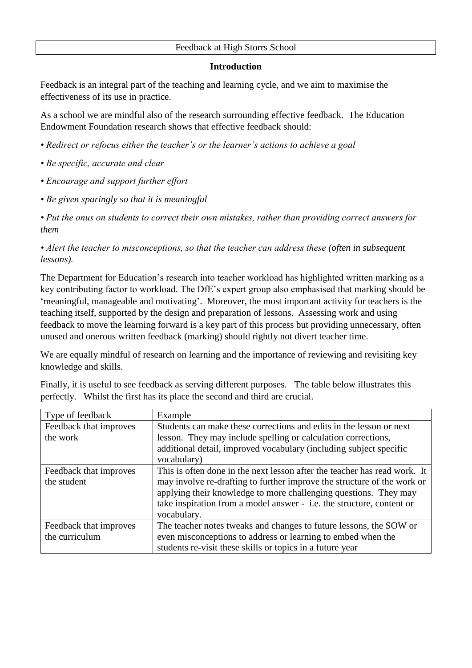## Feedback at High Storrs School

## **Introduction**

Feedback is an integral part of the teaching and learning cycle, and we aim to maximise the effectiveness of its use in practice.

As a school we are mindful also of the research surrounding effective feedback. The Education Endowment Foundation research shows that effective feedback should:

- *Redirect or refocus either the teacher's or the learner's actions to achieve a goal*
- *Be specific, accurate and clear*
- *Encourage and support further effort*
- *Be given sparingly so that it is meaningful*

*• Put the onus on students to correct their own mistakes, rather than providing correct answers for them*

*• Alert the teacher to misconceptions, so that the teacher can address these (often in subsequent lessons).*

The Department for Education's research into teacher workload has highlighted written marking as a key contributing factor to workload. The DfE's expert group also emphasised that marking should be 'meaningful, manageable and motivating'. Moreover, the most important activity for teachers is the teaching itself, supported by the design and preparation of lessons. Assessing work and using feedback to move the learning forward is a key part of this process but providing unnecessary, often unused and onerous written feedback (marking) should rightly not divert teacher time.

We are equally mindful of research on learning and the importance of reviewing and revisiting key knowledge and skills.

|                                                                             |  |  | Finally, it is useful to see feedback as serving different purposes. The table below illustrates this |  |
|-----------------------------------------------------------------------------|--|--|-------------------------------------------------------------------------------------------------------|--|
| perfectly. Whilst the first has its place the second and third are crucial. |  |  |                                                                                                       |  |

| Type of feedback       | Example                                                                   |  |
|------------------------|---------------------------------------------------------------------------|--|
| Feedback that improves | Students can make these corrections and edits in the lesson or next       |  |
| the work               | lesson. They may include spelling or calculation corrections,             |  |
|                        | additional detail, improved vocabulary (including subject specific        |  |
|                        | vocabulary)                                                               |  |
| Feedback that improves | This is often done in the next lesson after the teacher has read work. It |  |
| the student            | may involve re-drafting to further improve the structure of the work or   |  |
|                        | applying their knowledge to more challenging questions. They may          |  |
|                        | take inspiration from a model answer - i.e. the structure, content or     |  |
|                        | vocabulary.                                                               |  |
| Feedback that improves | The teacher notes tweaks and changes to future lessons, the SOW or        |  |
| the curriculum         | even misconceptions to address or learning to embed when the              |  |
|                        | students re-visit these skills or topics in a future year                 |  |